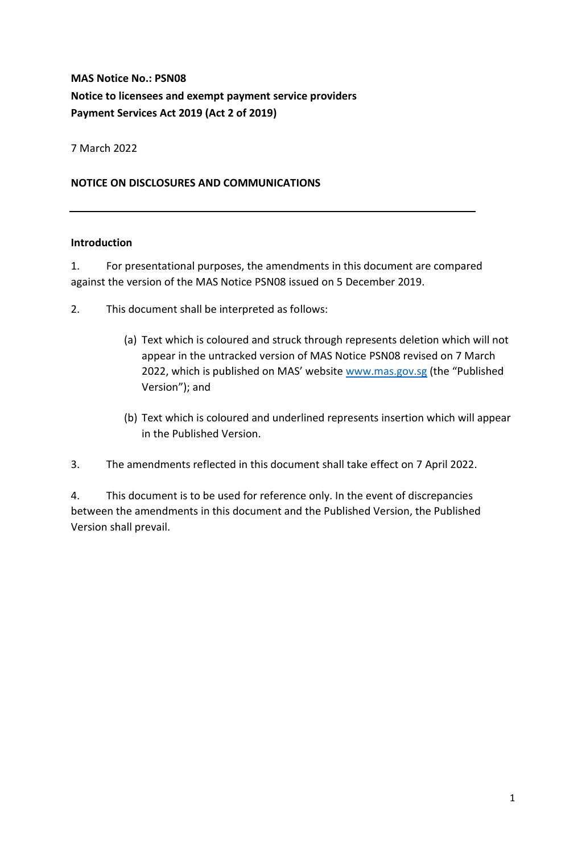# **MAS Notice No.: PSN08 Notice to licensees and exempt payment service providers Payment Services Act 2019 (Act 2 of 2019)**

7 March 2022

### **NOTICE ON DISCLOSURES AND COMMUNICATIONS**

#### **Introduction**

1. For presentational purposes, the amendments in this document are compared against the version of the MAS Notice PSN08 issued on 5 December 2019.

- 2. This document shall be interpreted as follows:
	- (a) Text which is coloured and struck through represents deletion which will not appear in the untracked version of MAS Notice PSN08 revised on 7 March 2022, which is published on MAS' website [www.mas.gov.sg](http://www.mas.gov.sg/) (the "Published Version"); and
	- (b) Text which is coloured and underlined represents insertion which will appear in the Published Version.
- 3. The amendments reflected in this document shall take effect on 7 April 2022.

4. This document is to be used for reference only. In the event of discrepancies between the amendments in this document and the Published Version, the Published Version shall prevail.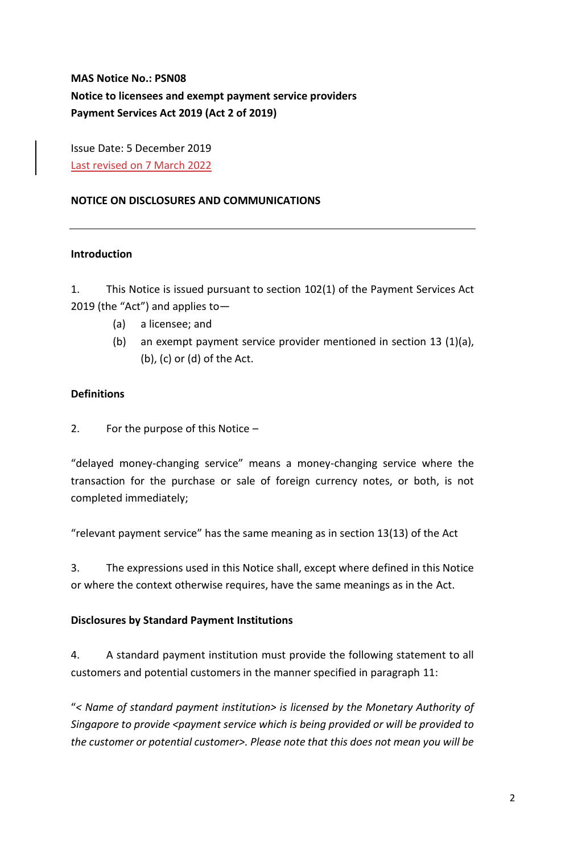**MAS Notice No.: PSN08 Notice to licensees and exempt payment service providers Payment Services Act 2019 (Act 2 of 2019)**

Issue Date: 5 December 2019 Last revised on 7 March 2022

# **NOTICE ON DISCLOSURES AND COMMUNICATIONS**

#### **Introduction**

1. This Notice is issued pursuant to section 102(1) of the Payment Services Act 2019 (the "Act") and applies to—

- (a) a licensee; and
- (b) an exempt payment service provider mentioned in section 13 (1)(a), (b), (c) or (d) of the Act.

# **Definitions**

2. For the purpose of this Notice –

"delayed money-changing service" means a money-changing service where the transaction for the purchase or sale of foreign currency notes, or both, is not completed immediately;

"relevant payment service" has the same meaning as in section 13(13) of the Act

3. The expressions used in this Notice shall, except where defined in this Notice or where the context otherwise requires, have the same meanings as in the Act.

# **Disclosures by Standard Payment Institutions**

4. A standard payment institution must provide the following statement to all customers and potential customers in the manner specified in paragraph 11:

"*< Name of standard payment institution> is licensed by the Monetary Authority of Singapore to provide <payment service which is being provided or will be provided to the customer or potential customer>. Please note that this does not mean you will be*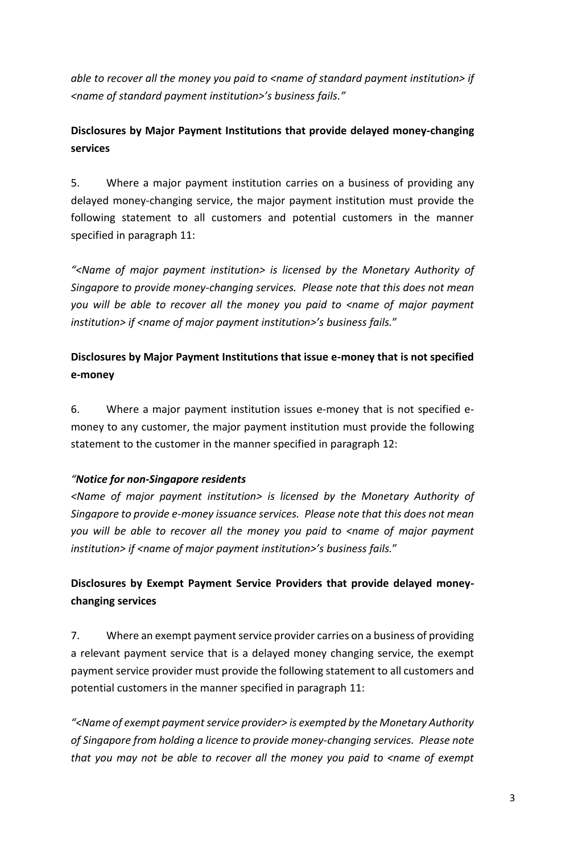*able to recover all the money you paid to <name of standard payment institution> if <name of standard payment institution>'s business fails."*

# **Disclosures by Major Payment Institutions that provide delayed money-changing services**

5. Where a major payment institution carries on a business of providing any delayed money-changing service, the major payment institution must provide the following statement to all customers and potential customers in the manner specified in paragraph 11:

*"<Name of major payment institution> is licensed by the Monetary Authority of Singapore to provide money-changing services. Please note that this does not mean you will be able to recover all the money you paid to <name of major payment institution> if <name of major payment institution>'s business fails.*"

# **Disclosures by Major Payment Institutions that issue e-money that is not specified e-money**

6. Where a major payment institution issues e-money that is not specified emoney to any customer, the major payment institution must provide the following statement to the customer in the manner specified in paragraph 12:

# *"Notice for non-Singapore residents*

*<Name of major payment institution> is licensed by the Monetary Authority of Singapore to provide e-money issuance services. Please note that this does not mean you will be able to recover all the money you paid to <name of major payment institution> if <name of major payment institution>'s business fails.*"

# **Disclosures by Exempt Payment Service Providers that provide delayed moneychanging services**

7. Where an exempt payment service provider carries on a business of providing a relevant payment service that is a delayed money changing service, the exempt payment service provider must provide the following statement to all customers and potential customers in the manner specified in paragraph 11:

*"<Name of exempt payment service provider> is exempted by the Monetary Authority of Singapore from holding a licence to provide money-changing services. Please note that you may not be able to recover all the money you paid to <name of exempt*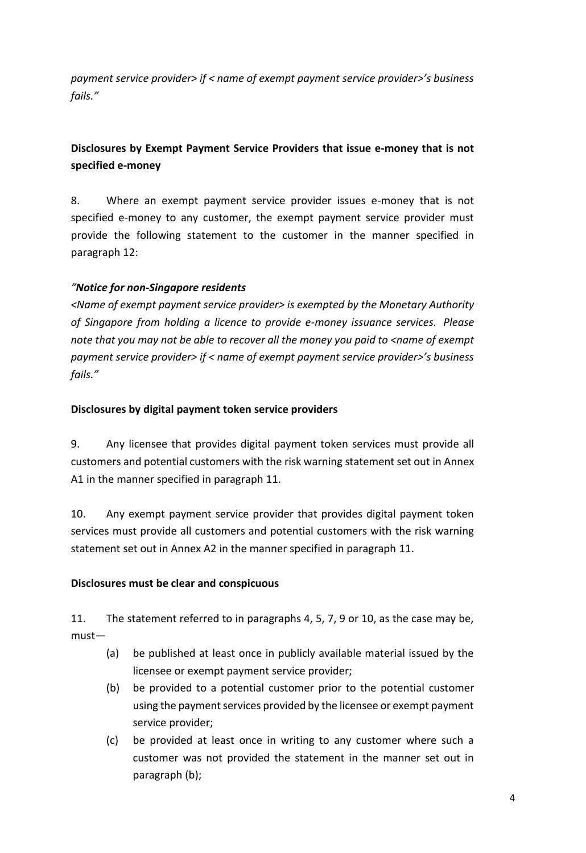*payment service provider> if < name of exempt payment service provider>'s business fails."* 

# **Disclosures by Exempt Payment Service Providers that issue e-money that is not specified e-money**

8. Where an exempt payment service provider issues e-money that is not specified e-money to any customer, the exempt payment service provider must provide the following statement to the customer in the manner specified in paragraph 12:

# *"Notice for non-Singapore residents*

*<Name of exempt payment service provider> is exempted by the Monetary Authority of Singapore from holding a licence to provide e-money issuance services. Please note that you may not be able to recover all the money you paid to <name of exempt payment service provider> if < name of exempt payment service provider>'s business fails."*

# **Disclosures by digital payment token service providers**

9. Any licensee that provides digital payment token services must provide all customers and potential customers with the risk warning statement set out in Annex A1 in the manner specified in paragraph 11.

10. Any exempt payment service provider that provides digital payment token services must provide all customers and potential customers with the risk warning statement set out in Annex A2 in the manner specified in paragraph 11.

# **Disclosures must be clear and conspicuous**

11. The statement referred to in paragraphs 4, 5, 7, 9 or 10, as the case may be, must—

- (a) be published at least once in publicly available material issued by the licensee or exempt payment service provider;
- (b) be provided to a potential customer prior to the potential customer using the payment services provided by the licensee or exempt payment service provider;
- (c) be provided at least once in writing to any customer where such a customer was not provided the statement in the manner set out in paragraph (b);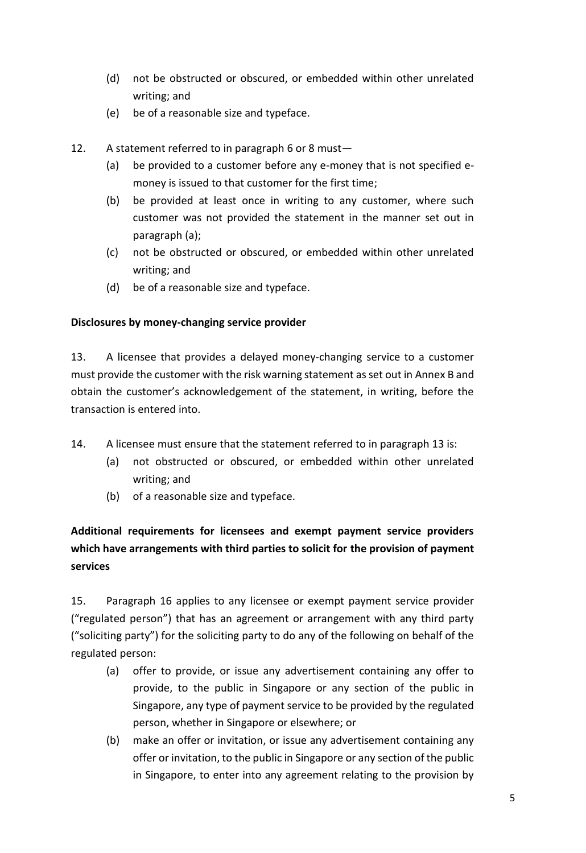- (d) not be obstructed or obscured, or embedded within other unrelated writing; and
- (e) be of a reasonable size and typeface.
- 12. A statement referred to in paragraph 6 or 8 must—
	- (a) be provided to a customer before any e-money that is not specified emoney is issued to that customer for the first time;
	- (b) be provided at least once in writing to any customer, where such customer was not provided the statement in the manner set out in paragraph (a);
	- (c) not be obstructed or obscured, or embedded within other unrelated writing; and
	- (d) be of a reasonable size and typeface.

#### **Disclosures by money-changing service provider**

13. A licensee that provides a delayed money-changing service to a customer must provide the customer with the risk warning statement as set out in Annex B and obtain the customer's acknowledgement of the statement, in writing, before the transaction is entered into.

- 14. A licensee must ensure that the statement referred to in paragraph 13 is:
	- (a) not obstructed or obscured, or embedded within other unrelated writing; and
	- (b) of a reasonable size and typeface.

# **Additional requirements for licensees and exempt payment service providers which have arrangements with third parties to solicit for the provision of payment services**

15. Paragraph 16 applies to any licensee or exempt payment service provider ("regulated person") that has an agreement or arrangement with any third party ("soliciting party") for the soliciting party to do any of the following on behalf of the regulated person:

- (a) offer to provide, or issue any advertisement containing any offer to provide, to the public in Singapore or any section of the public in Singapore, any type of payment service to be provided by the regulated person, whether in Singapore or elsewhere; or
- (b) make an offer or invitation, or issue any advertisement containing any offer or invitation, to the public in Singapore or any section of the public in Singapore, to enter into any agreement relating to the provision by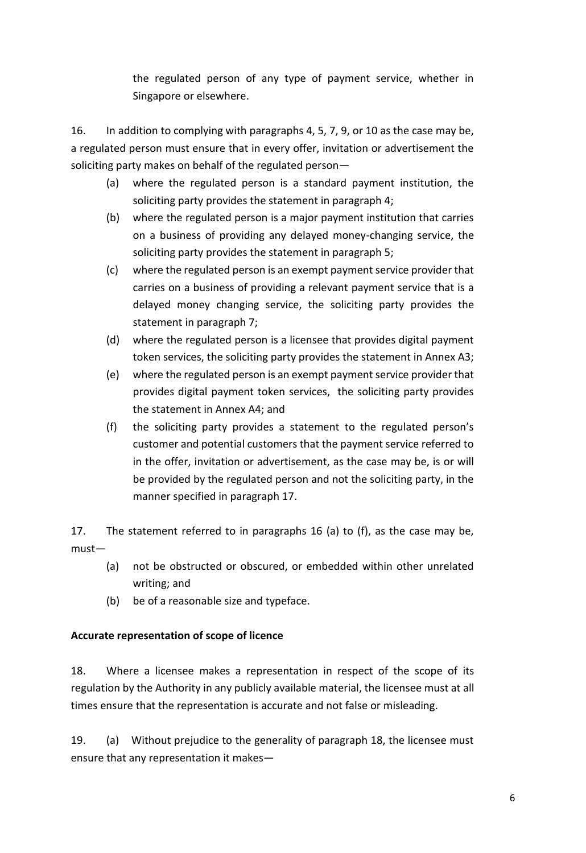the regulated person of any type of payment service, whether in Singapore or elsewhere.

16. In addition to complying with paragraphs 4, 5, 7, 9, or 10 as the case may be, a regulated person must ensure that in every offer, invitation or advertisement the soliciting party makes on behalf of the regulated person—

- (a) where the regulated person is a standard payment institution, the soliciting party provides the statement in paragraph 4;
- (b) where the regulated person is a major payment institution that carries on a business of providing any delayed money-changing service, the soliciting party provides the statement in paragraph 5;
- (c) where the regulated person is an exempt payment service provider that carries on a business of providing a relevant payment service that is a delayed money changing service, the soliciting party provides the statement in paragraph 7;
- (d) where the regulated person is a licensee that provides digital payment token services, the soliciting party provides the statement in Annex A3;
- (e) where the regulated person is an exempt payment service provider that provides digital payment token services, the soliciting party provides the statement in Annex A4; and
- (f) the soliciting party provides a statement to the regulated person's customer and potential customers that the payment service referred to in the offer, invitation or advertisement, as the case may be, is or will be provided by the regulated person and not the soliciting party, in the manner specified in paragraph 17.

17. The statement referred to in paragraphs 16 (a) to (f), as the case may be, must—

- (a) not be obstructed or obscured, or embedded within other unrelated writing; and
- (b) be of a reasonable size and typeface.

# **Accurate representation of scope of licence**

18. Where a licensee makes a representation in respect of the scope of its regulation by the Authority in any publicly available material, the licensee must at all times ensure that the representation is accurate and not false or misleading.

19. (a) Without prejudice to the generality of paragraph 18, the licensee must ensure that any representation it makes—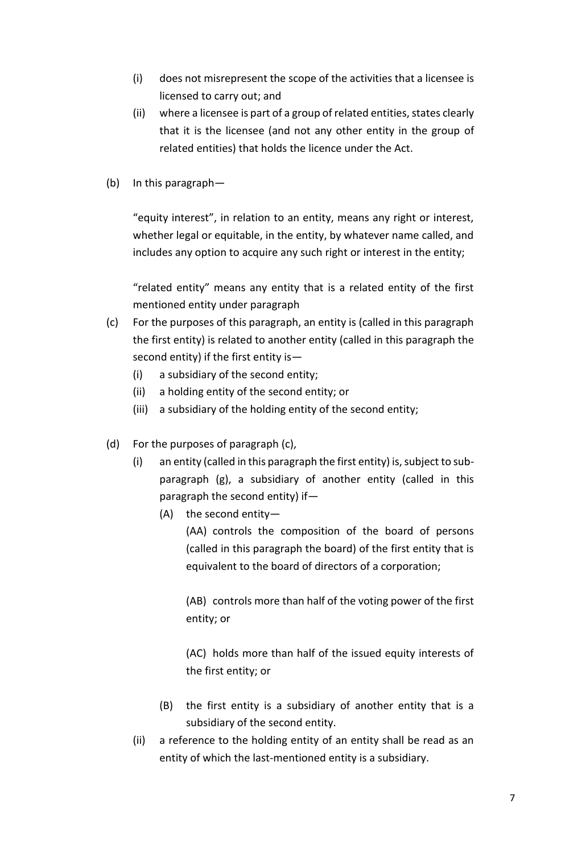- (i) does not misrepresent the scope of the activities that a licensee is licensed to carry out; and
- (ii) where a licensee is part of a group of related entities, states clearly that it is the licensee (and not any other entity in the group of related entities) that holds the licence under the Act.
- (b) In this paragraph—

"equity interest", in relation to an entity, means any right or interest, whether legal or equitable, in the entity, by whatever name called, and includes any option to acquire any such right or interest in the entity;

"related entity" means any entity that is a related entity of the first mentioned entity under paragraph

- (c) For the purposes of this paragraph, an entity is (called in this paragraph the first entity) is related to another entity (called in this paragraph the second entity) if the first entity is—
	- (i) a subsidiary of the second entity;
	- (ii) a holding entity of the second entity; or
	- (iii) a subsidiary of the holding entity of the second entity;
- (d) For the purposes of paragraph (c),
	- (i) an entity (called in this paragraph the first entity) is, subject to subparagraph (g), a subsidiary of another entity (called in this paragraph the second entity) if—
		- (A) the second entity—

(AA) controls the composition of the board of persons (called in this paragraph the board) of the first entity that is equivalent to the board of directors of a corporation;

(AB) controls more than half of the voting power of the first entity; or

(AC) holds more than half of the issued equity interests of the first entity; or

- (B) the first entity is a subsidiary of another entity that is a subsidiary of the second entity.
- (ii) a reference to the holding entity of an entity shall be read as an entity of which the last-mentioned entity is a subsidiary.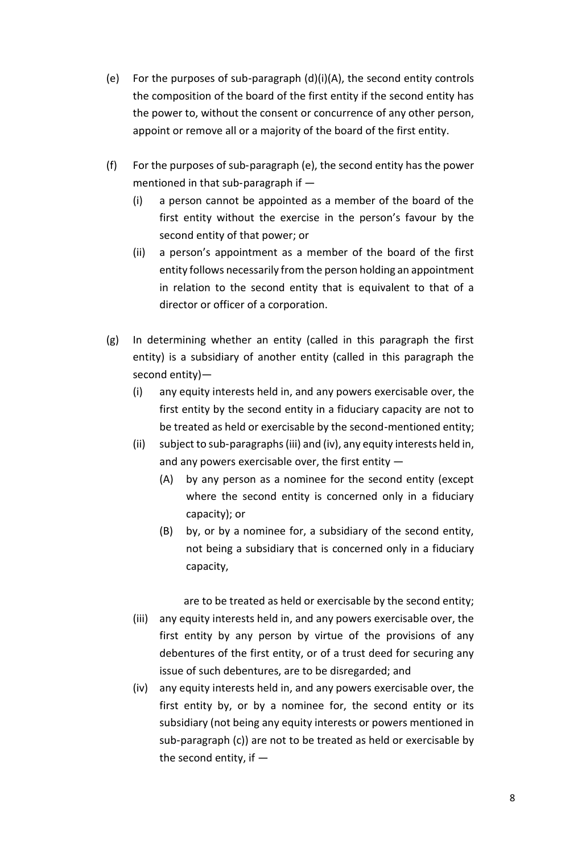- (e) For the purposes of sub‑paragraph (d)(i)(A), the second entity controls the composition of the board of the first entity if the second entity has the power to, without the consent or concurrence of any other person, appoint or remove all or a majority of the board of the first entity.
- (f) For the purposes of sub‑paragraph (e), the second entity has the power mentioned in that sub-paragraph if  $-$ 
	- (i) a person cannot be appointed as a member of the board of the first entity without the exercise in the person's favour by the second entity of that power; or
	- (ii) a person's appointment as a member of the board of the first entity follows necessarily from the person holding an appointment in relation to the second entity that is equivalent to that of a director or officer of a corporation.
- (g) In determining whether an entity (called in this paragraph the first entity) is a subsidiary of another entity (called in this paragraph the second entity)—
	- (i) any equity interests held in, and any powers exercisable over, the first entity by the second entity in a fiduciary capacity are not to be treated as held or exercisable by the second-mentioned entity;
	- (ii) subject to sub‑paragraphs (iii) and (iv), any equity interests held in, and any powers exercisable over, the first entity  $-$ 
		- (A) by any person as a nominee for the second entity (except where the second entity is concerned only in a fiduciary capacity); or
		- (B) by, or by a nominee for, a subsidiary of the second entity, not being a subsidiary that is concerned only in a fiduciary capacity,

are to be treated as held or exercisable by the second entity; (iii) any equity interests held in, and any powers exercisable over, the first entity by any person by virtue of the provisions of any debentures of the first entity, or of a trust deed for securing any issue of such debentures, are to be disregarded; and

(iv) any equity interests held in, and any powers exercisable over, the first entity by, or by a nominee for, the second entity or its subsidiary (not being any equity interests or powers mentioned in sub-paragraph (c)) are not to be treated as held or exercisable by the second entity, if  $-$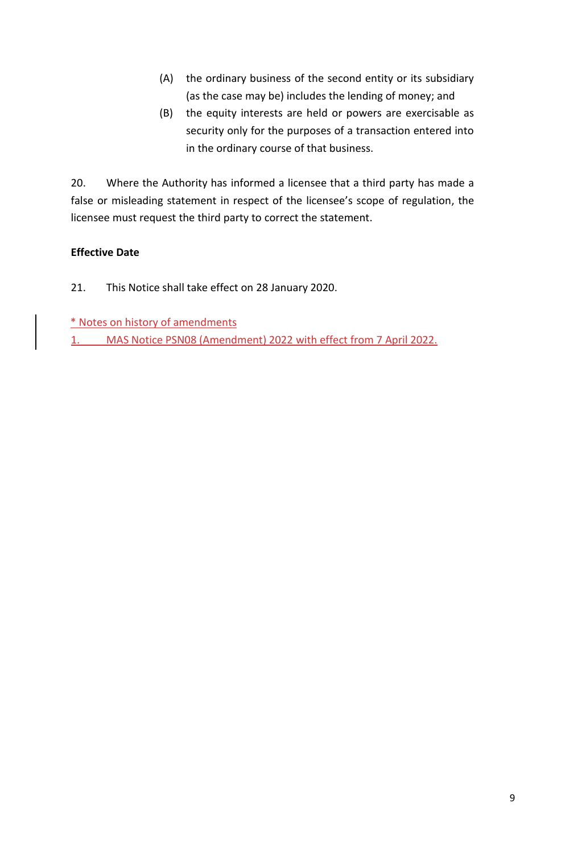- (A) the ordinary business of the second entity or its subsidiary (as the case may be) includes the lending of money; and
- (B) the equity interests are held or powers are exercisable as security only for the purposes of a transaction entered into in the ordinary course of that business.

20. Where the Authority has informed a licensee that a third party has made a false or misleading statement in respect of the licensee's scope of regulation, the licensee must request the third party to correct the statement.

# **Effective Date**

- 21. This Notice shall take effect on 28 January 2020.
- \* Notes on history of amendments
- 1. MAS Notice PSN08 (Amendment) 2022 with effect from 7 April 2022.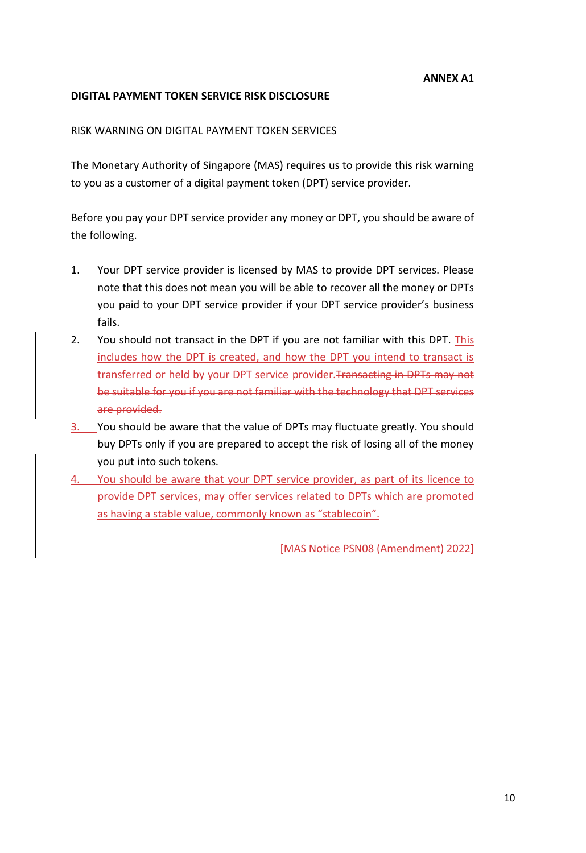#### **DIGITAL PAYMENT TOKEN SERVICE RISK DISCLOSURE**

#### RISK WARNING ON DIGITAL PAYMENT TOKEN SERVICES

The Monetary Authority of Singapore (MAS) requires us to provide this risk warning to you as a customer of a digital payment token (DPT) service provider.

Before you pay your DPT service provider any money or DPT, you should be aware of the following.

- 1. Your DPT service provider is licensed by MAS to provide DPT services. Please note that this does not mean you will be able to recover all the money or DPTs you paid to your DPT service provider if your DPT service provider's business fails.
- 2. You should not transact in the DPT if you are not familiar with this DPT. This includes how the DPT is created, and how the DPT you intend to transact is transferred or held by your DPT service provider. Transacting in DPTs may not be suitable for you if you are not familiar with the technology that DPT services are provided.
- 3. You should be aware that the value of DPTs may fluctuate greatly. You should buy DPTs only if you are prepared to accept the risk of losing all of the money you put into such tokens.
- 4. You should be aware that your DPT service provider, as part of its licence to provide DPT services, may offer services related to DPTs which are promoted as having a stable value, commonly known as "stablecoin".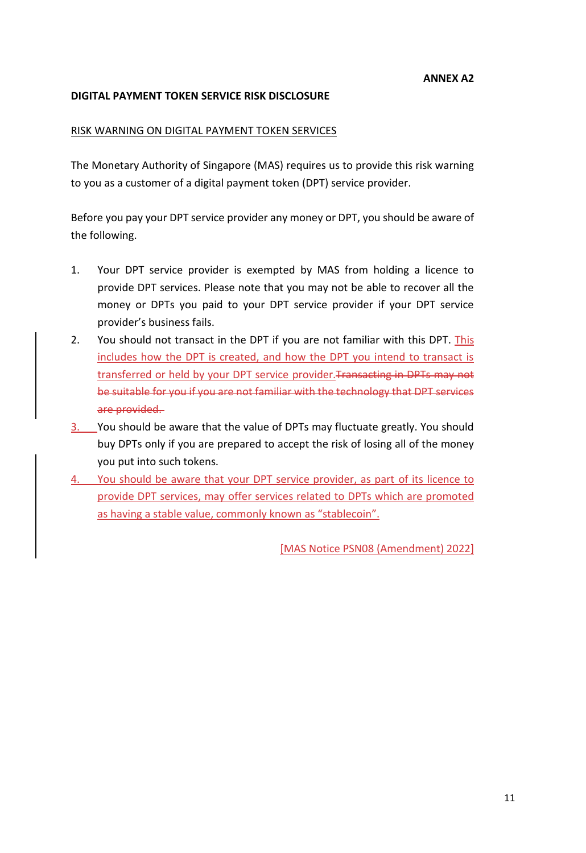#### **DIGITAL PAYMENT TOKEN SERVICE RISK DISCLOSURE**

#### RISK WARNING ON DIGITAL PAYMENT TOKEN SERVICES

The Monetary Authority of Singapore (MAS) requires us to provide this risk warning to you as a customer of a digital payment token (DPT) service provider.

Before you pay your DPT service provider any money or DPT, you should be aware of the following.

- 1. Your DPT service provider is exempted by MAS from holding a licence to provide DPT services. Please note that you may not be able to recover all the money or DPTs you paid to your DPT service provider if your DPT service provider's business fails.
- 2. You should not transact in the DPT if you are not familiar with this DPT. This includes how the DPT is created, and how the DPT you intend to transact is transferred or held by your DPT service provider. Transacting in DPTs may not be suitable for you if you are not familiar with the technology that DPT services are provided.
- 3. You should be aware that the value of DPTs may fluctuate greatly. You should buy DPTs only if you are prepared to accept the risk of losing all of the money you put into such tokens.
- 4. You should be aware that your DPT service provider, as part of its licence to provide DPT services, may offer services related to DPTs which are promoted as having a stable value, commonly known as "stablecoin".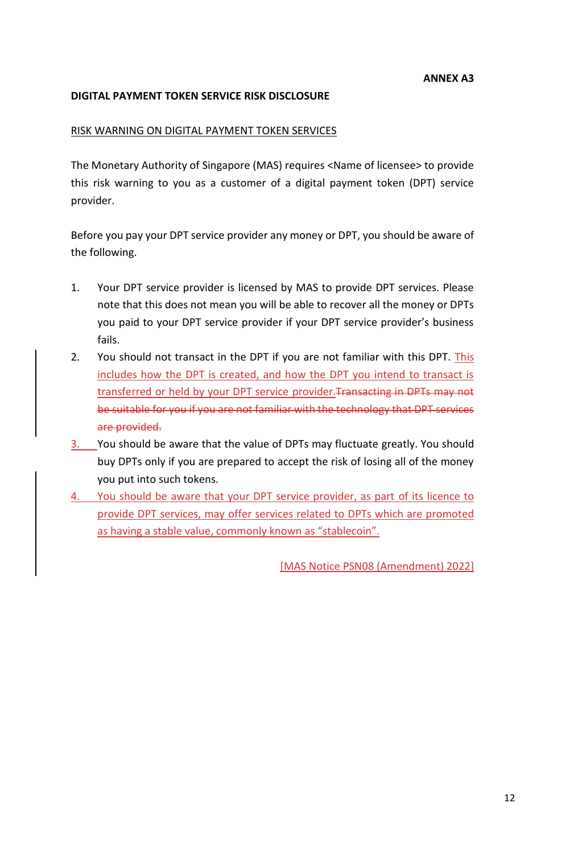#### **DIGITAL PAYMENT TOKEN SERVICE RISK DISCLOSURE**

#### RISK WARNING ON DIGITAL PAYMENT TOKEN SERVICES

The Monetary Authority of Singapore (MAS) requires <Name of licensee> to provide this risk warning to you as a customer of a digital payment token (DPT) service provider.

Before you pay your DPT service provider any money or DPT, you should be aware of the following.

- 1. Your DPT service provider is licensed by MAS to provide DPT services. Please note that this does not mean you will be able to recover all the money or DPTs you paid to your DPT service provider if your DPT service provider's business fails.
- 2. You should not transact in the DPT if you are not familiar with this DPT. This includes how the DPT is created, and how the DPT you intend to transact is transferred or held by your DPT service provider. Transacting in DPTs may not be suitable for you if you are not familiar with the technology that DPT services are provided.
- 3. You should be aware that the value of DPTs may fluctuate greatly. You should buy DPTs only if you are prepared to accept the risk of losing all of the money you put into such tokens.
- 4. You should be aware that your DPT service provider, as part of its licence to provide DPT services, may offer services related to DPTs which are promoted as having a stable value, commonly known as "stablecoin".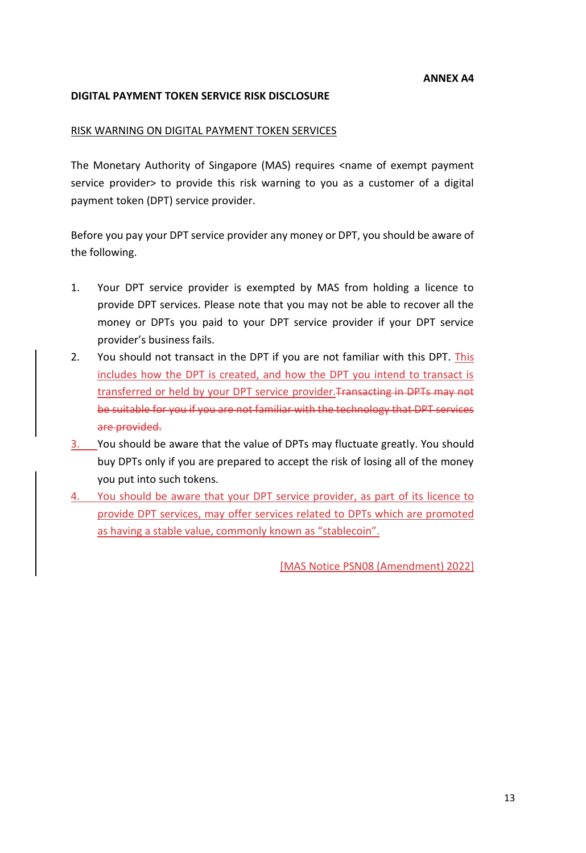#### **DIGITAL PAYMENT TOKEN SERVICE RISK DISCLOSURE**

#### RISK WARNING ON DIGITAL PAYMENT TOKEN SERVICES

The Monetary Authority of Singapore (MAS) requires <name of exempt payment service provider> to provide this risk warning to you as a customer of a digital payment token (DPT) service provider.

Before you pay your DPT service provider any money or DPT, you should be aware of the following.

- 1. Your DPT service provider is exempted by MAS from holding a licence to provide DPT services. Please note that you may not be able to recover all the money or DPTs you paid to your DPT service provider if your DPT service provider's business fails.
- 2. You should not transact in the DPT if you are not familiar with this DPT. This includes how the DPT is created, and how the DPT you intend to transact is transferred or held by your DPT service provider. Transacting in DPTs may not be suitable for you if you are not familiar with the technology that DPT services are provided.
- 3. You should be aware that the value of DPTs may fluctuate greatly. You should buy DPTs only if you are prepared to accept the risk of losing all of the money you put into such tokens.
- 4. You should be aware that your DPT service provider, as part of its licence to provide DPT services, may offer services related to DPTs which are promoted as having a stable value, commonly known as "stablecoin".